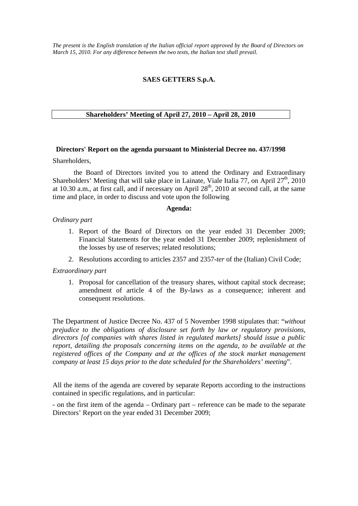*The present is the English translation of the Italian official report approved by the Board of Directors on March 15, 2010. For any difference between the two texts, the Italian text shall prevail.*

# **SAES GETTERS S.p.A.**

## **Shareholders' Meeting of April 27, 2010 – April 28, 2010**

### **Directors' Report on the agenda pursuant to Ministerial Decree no. 437/1998**

Shareholders,

 the Board of Directors invited you to attend the Ordinary and Extraordinary Shareholders' Meeting that will take place in Lainate, Viale Italia 77, on April  $27<sup>th</sup>$ , 2010 at 10.30 a.m., at first call, and if necessary on April  $28<sup>th</sup>$ , 2010 at second call, at the same time and place, in order to discuss and vote upon the following

#### **Agenda:**

#### *Ordinary part*

- 1. Report of the Board of Directors on the year ended 31 December 2009; Financial Statements for the year ended 31 December 2009; replenishment of the losses by use of reserves; related resolutions;
- 2. Resolutions according to articles 2357 and 2357*-ter* of the (Italian) Civil Code;

#### *Extraordinary part*

1. Proposal for cancellation of the treasury shares, without capital stock decrease; amendment of article 4 of the By-laws as a consequence; inherent and consequent resolutions.

The Department of Justice Decree No. 437 of 5 November 1998 stipulates that: "*without prejudice to the obligations of disclosure set forth by law or regulatory provisions, directors [of companies with shares listed in regulated markets] should issue a public report, detailing the proposals concerning items on the agenda, to be available at the registered offices of the Company and at the offices of the stock market management company at least 15 days prior to the date scheduled for the Shareholders' meeting*".

All the items of the agenda are covered by separate Reports according to the instructions contained in specific regulations, and in particular:

- on the first item of the agenda – Ordinary part – reference can be made to the separate Directors' Report on the year ended 31 December 2009;